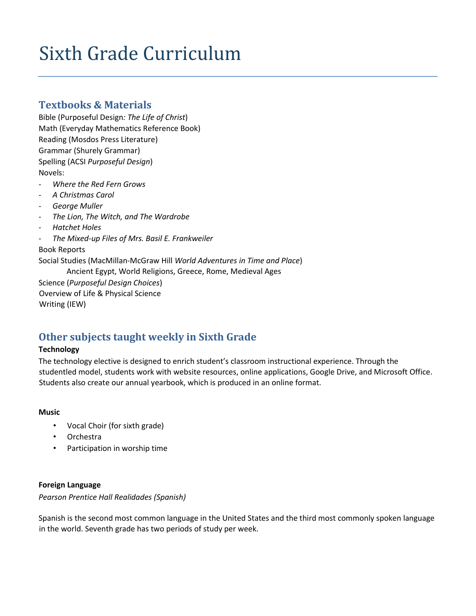# Sixth Grade Curriculum

## **Textbooks & Materials**

Bible (Purposeful Design*: The Life of Christ*) Math (Everyday Mathematics Reference Book) Reading (Mosdos Press Literature) Grammar (Shurely Grammar) Spelling (ACSI *Purposeful Design*) Novels:

- *- Where the Red Fern Grows*
- *- A Christmas Carol*
- *- George Muller*
- *- The Lion, The Witch, and The Wardrobe*
- *- Hatchet Holes*
- *- The Mixed-up Files of Mrs. Basil E. Frankweiler*

## Book Reports

Social Studies (MacMillan-McGraw Hill *World Adventures in Time and Place*) Ancient Egypt, World Religions, Greece, Rome, Medieval Ages Science (*Purposeful Design Choices*) Overview of Life & Physical Science

Writing (IEW)

## **Other subjects taught weekly in Sixth Grade**

## **Technology**

The technology elective is designed to enrich student's classroom instructional experience. Through the studentled model, students work with website resources, online applications, Google Drive, and Microsoft Office. Students also create our annual yearbook, which is produced in an online format.

## **Music**

- Vocal Choir (for sixth grade)
- Orchestra
- Participation in worship time

## **Foreign Language**

*Pearson Prentice Hall Realidades (Spanish)*

Spanish is the second most common language in the United States and the third most commonly spoken language in the world. Seventh grade has two periods of study per week.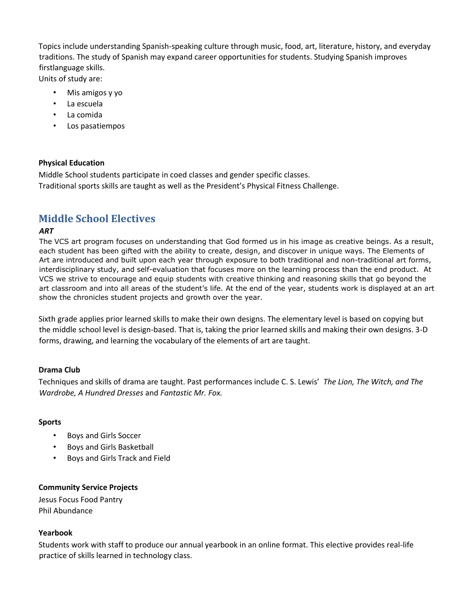Topics include understanding Spanish-speaking culture through music, food, art, literature, history, and everyday traditions. The study of Spanish may expand career opportunities for students. Studying Spanish improves firstlanguage skills.

Units of study are:

- Mis amigos y yo
- La escuela
- La comida
- Los pasatiempos

## **Physical Education**

Middle School students participate in coed classes and gender specific classes. Traditional sports skills are taught as well as the President's Physical Fitness Challenge.

## **Middle School Electives**

## *ART*

The VCS art program focuses on understanding that God formed us in his image as creative beings. As a result, each student has been gifted with the ability to create, design, and discover in unique ways. The Elements of Art are introduced and built upon each year through exposure to both traditional and non-traditional art forms, interdisciplinary study, and self-evaluation that focuses more on the learning process than the end product. At VCS we strive to encourage and equip students with creative thinking and reasoning skills that go beyond the art classroom and into all areas of the student's life. At the end of the year, students work is displayed at an art show the chronicles student projects and growth over the year.

Sixth grade applies prior learned skills to make their own designs. The elementary level is based on copying but the middle school level is design-based. That is, taking the prior learned skills and making their own designs. 3-D forms, drawing, and learning the vocabulary of the elements of art are taught.

## **Drama Club**

Techniques and skills of drama are taught. Past performances include C. S. Lewis' *The Lion, The Witch, and The Wardrobe, A Hundred Dresses* and *Fantastic Mr. Fox.* 

### **Sports**

- Boys and Girls Soccer
- Boys and Girls Basketball
- Boys and Girls Track and Field

## **Community Service Projects**

Jesus Focus Food Pantry Phil Abundance

### **Yearbook**

Students work with staff to produce our annual yearbook in an online format. This elective provides real-life practice of skills learned in technology class.